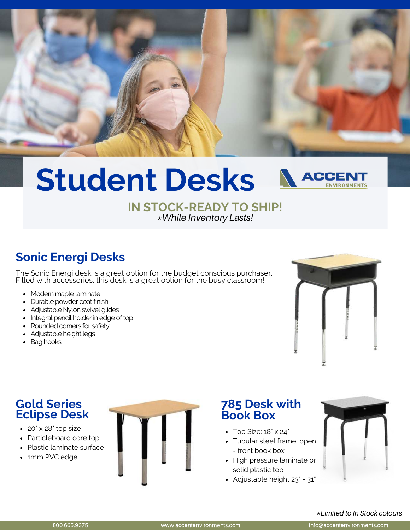

### **Student Desks** ACCEI ENVIRONMENTS

#### **IN STOCK-READY TO SHIP!** *\*While Inventory Lasts!*

# **Sonic Energi Desks**

The Sonic Energi desk is a great option for the budget conscious purchaser. Filled with accessories, this desk is a great option for the busy classroom!

- Modern maple laminate
- Durable powder coat finish
- Adjustable Nylon swivel glides
- Integral pencil holder in edge of top
- Rounded corners for safety
- Adjustable height legs
- Bag hooks



## **Gold Series Eclipse Desk**

- 20" x 28" top size
- Particleboard core top
- Plastic laminate surface
- 1mm PVC edge



## **785 Desk with Book Box**

- $\bullet$  Top Size:  $18" \times 24"$
- Tubular steel frame, open - front book box
- High pressure laminate or solid plastic top
- Adjustable height 23" 31"